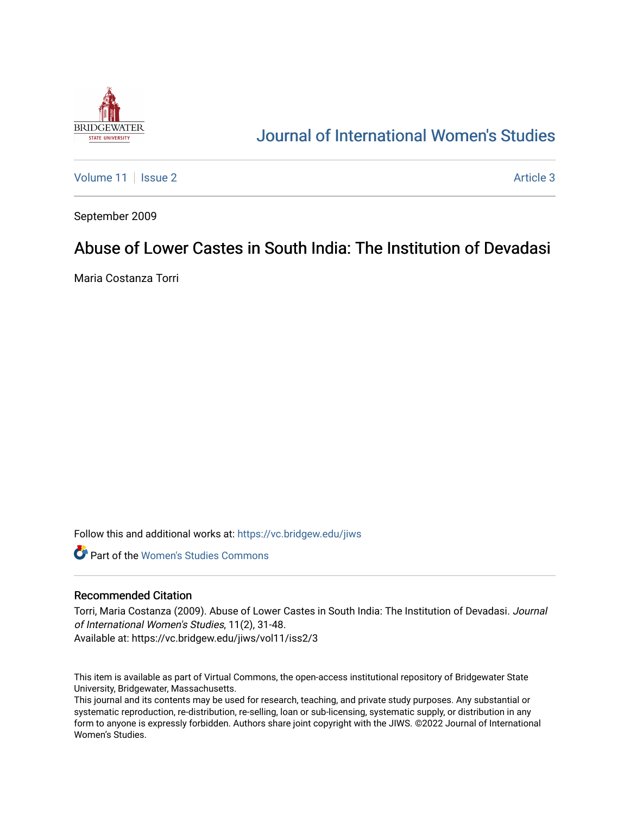

# [Journal of International Women's Studies](https://vc.bridgew.edu/jiws)

[Volume 11](https://vc.bridgew.edu/jiws/vol11) | [Issue 2](https://vc.bridgew.edu/jiws/vol11/iss2) Article 3

September 2009

# Abuse of Lower Castes in South India: The Institution of Devadasi

Maria Costanza Torri

Follow this and additional works at: [https://vc.bridgew.edu/jiws](https://vc.bridgew.edu/jiws?utm_source=vc.bridgew.edu%2Fjiws%2Fvol11%2Fiss2%2F3&utm_medium=PDF&utm_campaign=PDFCoverPages)

**C** Part of the Women's Studies Commons

#### Recommended Citation

Torri, Maria Costanza (2009). Abuse of Lower Castes in South India: The Institution of Devadasi. Journal of International Women's Studies, 11(2), 31-48. Available at: https://vc.bridgew.edu/jiws/vol11/iss2/3

This item is available as part of Virtual Commons, the open-access institutional repository of Bridgewater State University, Bridgewater, Massachusetts.

This journal and its contents may be used for research, teaching, and private study purposes. Any substantial or systematic reproduction, re-distribution, re-selling, loan or sub-licensing, systematic supply, or distribution in any form to anyone is expressly forbidden. Authors share joint copyright with the JIWS. ©2022 Journal of International Women's Studies.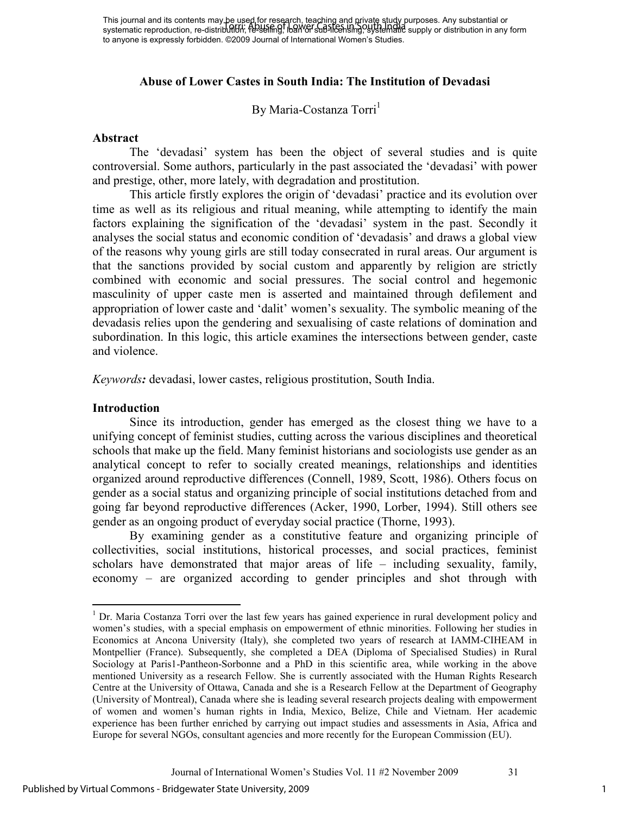This journal and its contents may be used for research, teaching and private study purposes. Any substantial or systematic reproduction, re-distribution, fe-selling, loan or sub-licensing, systematic supply or distribution in any form to anyone is expressly forbidden. ©2009 Journal of International Women's Studies. Torri: Abuse of Lower Castes in South India

# **Abuse of Lower Castes in South India: The Institution of Devadasi**

By Maria-Costanza Torri<sup>1</sup>

#### **Abstract**

The 'devadasi' system has been the object of several studies and is quite controversial. Some authors, particularly in the past associated the 'devadasi' with power and prestige, other, more lately, with degradation and prostitution.

This article firstly explores the origin of 'devadasi' practice and its evolution over time as well as its religious and ritual meaning, while attempting to identify the main factors explaining the signification of the 'devadasi' system in the past. Secondly it analyses the social status and economic condition of 'devadasis' and draws a global view of the reasons why young girls are still today consecrated in rural areas. Our argument is that the sanctions provided by social custom and apparently by religion are strictly combined with economic and social pressures. The social control and hegemonic masculinity of upper caste men is asserted and maintained through defilement and appropriation of lower caste and 'dalit' women's sexuality. The symbolic meaning of the devadasis relies upon the gendering and sexualising of caste relations of domination and subordination. In this logic, this article examines the intersections between gender, caste and violence.

*Keywords:* devadasi, lower castes, religious prostitution, South India.

#### **Introduction**

 $\overline{a}$ 

Since its introduction, gender has emerged as the closest thing we have to a unifying concept of feminist studies, cutting across the various disciplines and theoretical schools that make up the field. Many feminist historians and sociologists use gender as an analytical concept to refer to socially created meanings, relationships and identities organized around reproductive differences (Connell, 1989, Scott, 1986). Others focus on gender as a social status and organizing principle of social institutions detached from and going far beyond reproductive differences (Acker, 1990, Lorber, 1994). Still others see gender as an ongoing product of everyday social practice (Thorne, 1993).

By examining gender as a constitutive feature and organizing principle of collectivities, social institutions, historical processes, and social practices, feminist scholars have demonstrated that major areas of life – including sexuality, family, economy – are organized according to gender principles and shot through with

<sup>&</sup>lt;sup>1</sup> Dr. Maria Costanza Torri over the last few years has gained experience in rural development policy and women's studies, with a special emphasis on empowerment of ethnic minorities. Following her studies in Economics at Ancona University (Italy), she completed two years of research at IAMM-CIHEAM in Montpellier (France). Subsequently, she completed a DEA (Diploma of Specialised Studies) in Rural Sociology at Paris1-Pantheon-Sorbonne and a PhD in this scientific area, while working in the above mentioned University as a research Fellow. She is currently associated with the Human Rights Research Centre at the University of Ottawa, Canada and she is a Research Fellow at the Department of Geography (University of Montreal), Canada where she is leading several research projects dealing with empowerment of women and women's human rights in India, Mexico, Belize, Chile and Vietnam. Her academic experience has been further enriched by carrying out impact studies and assessments in Asia, Africa and Europe for several NGOs, consultant agencies and more recently for the European Commission (EU).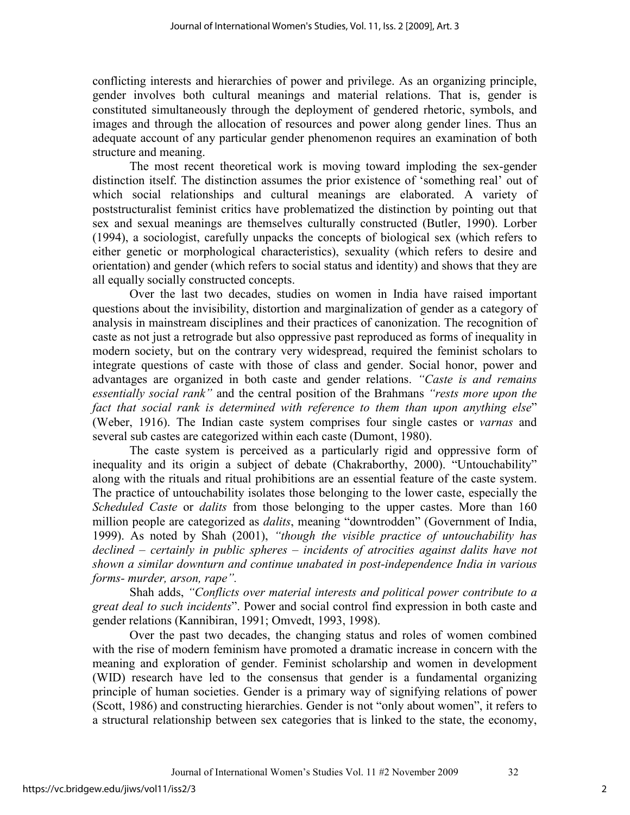conflicting interests and hierarchies of power and privilege. As an organizing principle, gender involves both cultural meanings and material relations. That is, gender is constituted simultaneously through the deployment of gendered rhetoric, symbols, and images and through the allocation of resources and power along gender lines. Thus an adequate account of any particular gender phenomenon requires an examination of both structure and meaning.

The most recent theoretical work is moving toward imploding the sex-gender distinction itself. The distinction assumes the prior existence of 'something real' out of which social relationships and cultural meanings are elaborated. A variety of poststructuralist feminist critics have problematized the distinction by pointing out that sex and sexual meanings are themselves culturally constructed (Butler, 1990). Lorber (1994), a sociologist, carefully unpacks the concepts of biological sex (which refers to either genetic or morphological characteristics), sexuality (which refers to desire and orientation) and gender (which refers to social status and identity) and shows that they are all equally socially constructed concepts.

Over the last two decades, studies on women in India have raised important questions about the invisibility, distortion and marginalization of gender as a category of analysis in mainstream disciplines and their practices of canonization. The recognition of caste as not just a retrograde but also oppressive past reproduced as forms of inequality in modern society, but on the contrary very widespread, required the feminist scholars to integrate questions of caste with those of class and gender. Social honor, power and advantages are organized in both caste and gender relations. *"Caste is and remains essentially social rank"* and the central position of the Brahmans *"rests more upon the fact that social rank is determined with reference to them than upon anything else*" (Weber, 1916). The Indian caste system comprises four single castes or *varnas* and several sub castes are categorized within each caste (Dumont, 1980).

The caste system is perceived as a particularly rigid and oppressive form of inequality and its origin a subject of debate (Chakraborthy, 2000). "Untouchability" along with the rituals and ritual prohibitions are an essential feature of the caste system. The practice of untouchability isolates those belonging to the lower caste, especially the *Scheduled Caste* or *dalits* from those belonging to the upper castes. More than 160 million people are categorized as *dalits*, meaning "downtrodden" (Government of India, 1999). As noted by Shah (2001), *"though the visible practice of untouchability has declined – certainly in public spheres – incidents of atrocities against dalits have not shown a similar downturn and continue unabated in post-independence India in various forms- murder, arson, rape".* 

Shah adds, *"Conflicts over material interests and political power contribute to a great deal to such incidents*". Power and social control find expression in both caste and gender relations (Kannibiran, 1991; Omvedt, 1993, 1998).

Over the past two decades, the changing status and roles of women combined with the rise of modern feminism have promoted a dramatic increase in concern with the meaning and exploration of gender. Feminist scholarship and women in development (WID) research have led to the consensus that gender is a fundamental organizing principle of human societies. Gender is a primary way of signifying relations of power (Scott, 1986) and constructing hierarchies. Gender is not "only about women", it refers to a structural relationship between sex categories that is linked to the state, the economy,

2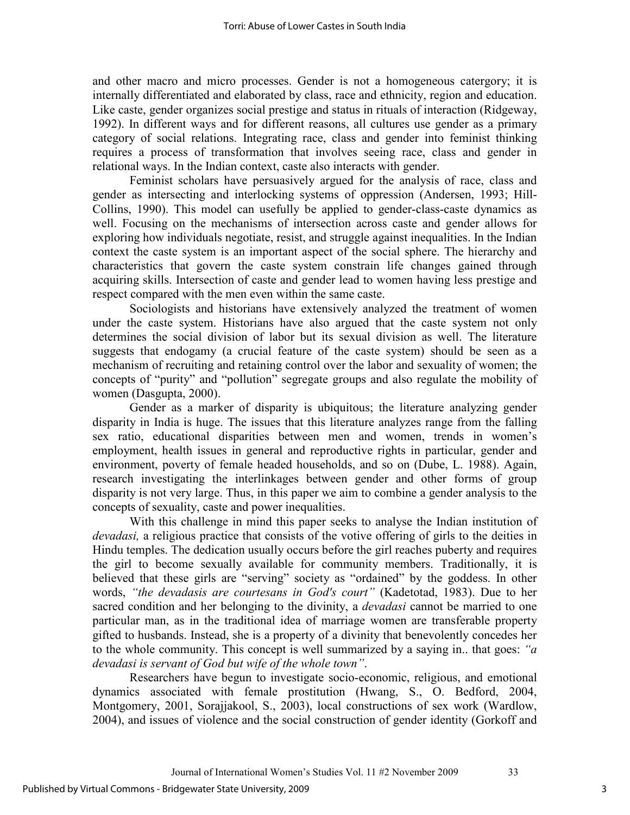and other macro and micro processes. Gender is not a homogeneous catergory; it is internally differentiated and elaborated by class, race and ethnicity, region and education. Like caste, gender organizes social prestige and status in rituals of interaction (Ridgeway, 1992). In different ways and for different reasons, all cultures use gender as a primary category of social relations. Integrating race, class and gender into feminist thinking requires a process of transformation that involves seeing race, class and gender in relational ways. In the Indian context, caste also interacts with gender.

Feminist scholars have persuasively argued for the analysis of race, class and gender as intersecting and interlocking systems of oppression (Andersen, 1993; Hill-Collins, 1990). This model can usefully be applied to gender-class-caste dynamics as well. Focusing on the mechanisms of intersection across caste and gender allows for exploring how individuals negotiate, resist, and struggle against inequalities. In the Indian context the caste system is an important aspect of the social sphere. The hierarchy and characteristics that govern the caste system constrain life changes gained through acquiring skills. Intersection of caste and gender lead to women having less prestige and respect compared with the men even within the same caste.

Sociologists and historians have extensively analyzed the treatment of women under the caste system. Historians have also argued that the caste system not only determines the social division of labor but its sexual division as well. The literature suggests that endogamy (a crucial feature of the caste system) should be seen as a mechanism of recruiting and retaining control over the labor and sexuality of women; the concepts of "purity" and "pollution" segregate groups and also regulate the mobility of women (Dasgupta, 2000).

Gender as a marker of disparity is ubiquitous; the literature analyzing gender disparity in India is huge. The issues that this literature analyzes range from the falling sex ratio, educational disparities between men and women, trends in women's employment, health issues in general and reproductive rights in particular, gender and environment, poverty of female headed households, and so on (Dube, L. 1988). Again, research investigating the interlinkages between gender and other forms of group disparity is not very large. Thus, in this paper we aim to combine a gender analysis to the concepts of sexuality, caste and power inequalities.

With this challenge in mind this paper seeks to analyse the Indian institution of *devadasi,* a religious practice that consists of the votive offering of girls to the deities in Hindu temples. The dedication usually occurs before the girl reaches puberty and requires the girl to become sexually available for community members. Traditionally, it is believed that these girls are "serving" society as "ordained" by the goddess. In other words, *"the devadasis are courtesans in God's court"* (Kadetotad, 1983). Due to her sacred condition and her belonging to the divinity, a *devadasi* cannot be married to one particular man, as in the traditional idea of marriage women are transferable property gifted to husbands. Instead, she is a property of a divinity that benevolently concedes her to the whole community. This concept is well summarized by a saying in.. that goes: *"a devadasi is servant of God but wife of the whole town"*.

Researchers have begun to investigate socio-economic, religious, and emotional dynamics associated with female prostitution (Hwang, S., O. Bedford, 2004, Montgomery, 2001, Sorajjakool, S., 2003), local constructions of sex work (Wardlow, 2004), and issues of violence and the social construction of gender identity (Gorkoff and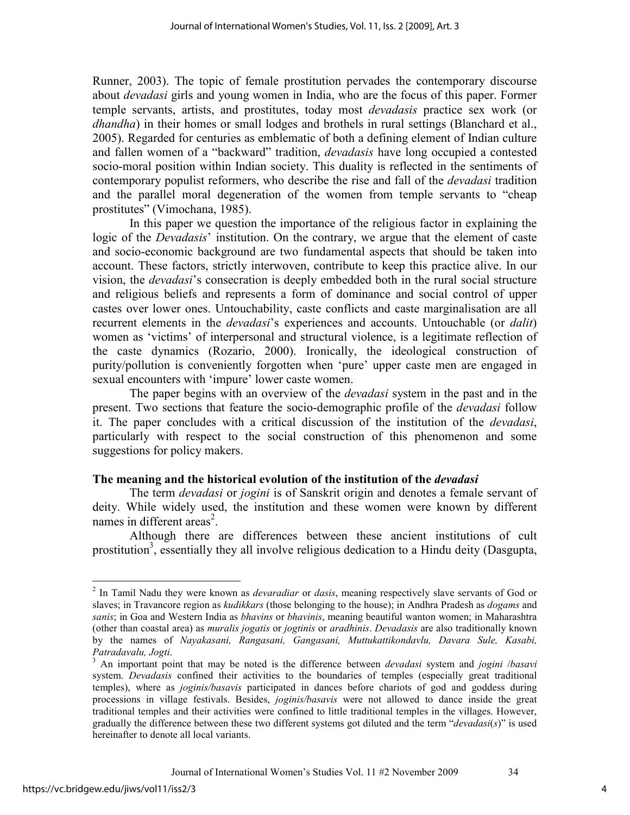Runner, 2003). The topic of female prostitution pervades the contemporary discourse about *devadasi* girls and young women in India, who are the focus of this paper. Former temple servants, artists, and prostitutes, today most *devadasis* practice sex work (or *dhandha*) in their homes or small lodges and brothels in rural settings (Blanchard et al., 2005). Regarded for centuries as emblematic of both a defining element of Indian culture and fallen women of a "backward" tradition, *devadasis* have long occupied a contested socio-moral position within Indian society. This duality is reflected in the sentiments of contemporary populist reformers, who describe the rise and fall of the *devadasi* tradition and the parallel moral degeneration of the women from temple servants to "cheap prostitutes" (Vimochana, 1985).

In this paper we question the importance of the religious factor in explaining the logic of the *Devadasis*' institution. On the contrary, we argue that the element of caste and socio-economic background are two fundamental aspects that should be taken into account. These factors, strictly interwoven, contribute to keep this practice alive. In our vision, the *devadasi*'s consecration is deeply embedded both in the rural social structure and religious beliefs and represents a form of dominance and social control of upper castes over lower ones. Untouchability, caste conflicts and caste marginalisation are all recurrent elements in the *devadasi*'s experiences and accounts. Untouchable (or *dalit*) women as 'victims' of interpersonal and structural violence, is a legitimate reflection of the caste dynamics (Rozario, 2000). Ironically, the ideological construction of purity/pollution is conveniently forgotten when 'pure' upper caste men are engaged in sexual encounters with 'impure' lower caste women.

The paper begins with an overview of the *devadasi* system in the past and in the present. Two sections that feature the socio-demographic profile of the *devadasi* follow it. The paper concludes with a critical discussion of the institution of the *devadasi*, particularly with respect to the social construction of this phenomenon and some suggestions for policy makers.

## **The meaning and the historical evolution of the institution of the** *devadasi*

The term *devadasi* or *jogini* is of Sanskrit origin and denotes a female servant of deity. While widely used, the institution and these women were known by different names in different areas<sup>2</sup>.

Although there are differences between these ancient institutions of cult prostitution<sup>3</sup>, essentially they all involve religious dedication to a Hindu deity (Dasgupta,

<u>.</u>

<sup>2</sup> In Tamil Nadu they were known as *devaradiar* or *dasis*, meaning respectively slave servants of God or slaves; in Travancore region as *kudikkars* (those belonging to the house); in Andhra Pradesh as *dogams* and *sanis*; in Goa and Western India as *bhavins* or *bhavinis*, meaning beautiful wanton women; in Maharashtra (other than coastal area) as *muralis jogatis* or *jogtinis* or *aradhinis*. *Devadasis* are also traditionally known by the names of *Nayakasani, Rangasani, Gangasani, Muttukattikondavlu, Davara Sule, Kasabi, Patradavalu, Jogti*.

<sup>3</sup> An important point that may be noted is the difference between *devadasi* system and *jogini* /*basavi*  system. *Devadasis* confined their activities to the boundaries of temples (especially great traditional temples), where as *joginis/basavis* participated in dances before chariots of god and goddess during processions in village festivals. Besides, *joginis/basavis* were not allowed to dance inside the great traditional temples and their activities were confined to little traditional temples in the villages. However, gradually the difference between these two different systems got diluted and the term "*devadasi*(*s*)" is used hereinafter to denote all local variants.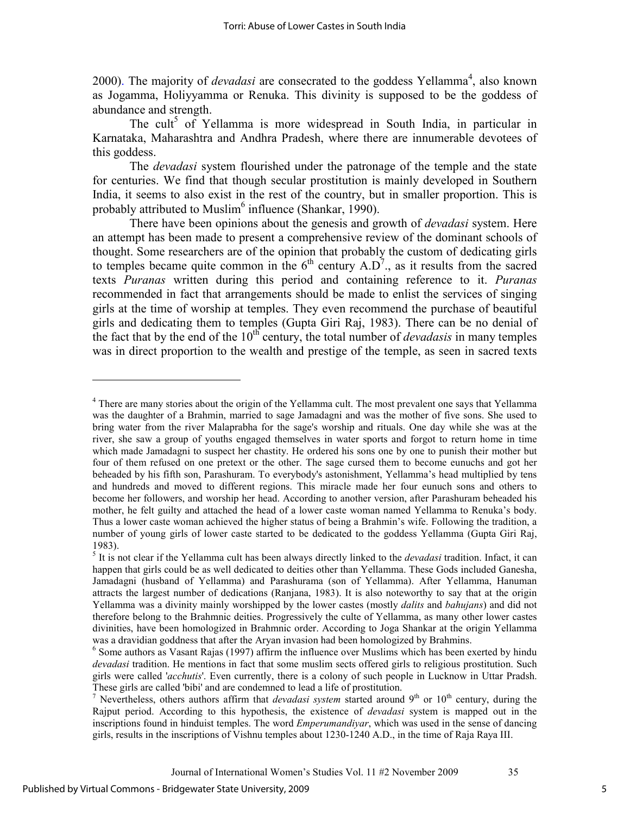2000). The majority of *devadasi* are consecrated to the goddess Yellamma<sup>4</sup>, also known as Jogamma, Holiyyamma or Renuka. This divinity is supposed to be the goddess of abundance and strength.

The cult<sup>5</sup> of Yellamma is more widespread in South India, in particular in Karnataka, Maharashtra and Andhra Pradesh, where there are innumerable devotees of this goddess.

The *devadasi* system flourished under the patronage of the temple and the state for centuries. We find that though secular prostitution is mainly developed in Southern India, it seems to also exist in the rest of the country, but in smaller proportion. This is probably attributed to Muslim<sup>6</sup> influence (Shankar, 1990).

There have been opinions about the genesis and growth of *devadasi* system. Here an attempt has been made to present a comprehensive review of the dominant schools of thought. Some researchers are of the opinion that probably the custom of dedicating girls to temples became quite common in the  $6<sup>th</sup>$  century A.D<sup>7</sup>., as it results from the sacred texts *Puranas* written during this period and containing reference to it. *Puranas*  recommended in fact that arrangements should be made to enlist the services of singing girls at the time of worship at temples. They even recommend the purchase of beautiful girls and dedicating them to temples (Gupta Giri Raj, 1983). There can be no denial of the fact that by the end of the  $10<sup>th</sup>$  century, the total number of *devadasis* in many temples was in direct proportion to the wealth and prestige of the temple, as seen in sacred texts

-

<sup>&</sup>lt;sup>4</sup> There are many stories about the origin of the Yellamma cult. The most prevalent one says that Yellamma was the daughter of a Brahmin, married to sage Jamadagni and was the mother of five sons. She used to bring water from the river Malaprabha for the sage's worship and rituals. One day while she was at the river, she saw a group of youths engaged themselves in water sports and forgot to return home in time which made Jamadagni to suspect her chastity. He ordered his sons one by one to punish their mother but four of them refused on one pretext or the other. The sage cursed them to become eunuchs and got her beheaded by his fifth son, Parashuram. To everybody's astonishment, Yellamma's head multiplied by tens and hundreds and moved to different regions. This miracle made her four eunuch sons and others to become her followers, and worship her head. According to another version, after Parashuram beheaded his mother, he felt guilty and attached the head of a lower caste woman named Yellamma to Renuka's body. Thus a lower caste woman achieved the higher status of being a Brahmin's wife. Following the tradition, a number of young girls of lower caste started to be dedicated to the goddess Yellamma (Gupta Giri Raj, 1983).

<sup>5</sup> It is not clear if the Yellamma cult has been always directly linked to the *devadasi* tradition. Infact, it can happen that girls could be as well dedicated to deities other than Yellamma. These Gods included Ganesha, Jamadagni (husband of Yellamma) and Parashurama (son of Yellamma). After Yellamma, Hanuman attracts the largest number of dedications (Ranjana, 1983). It is also noteworthy to say that at the origin Yellamma was a divinity mainly worshipped by the lower castes (mostly *dalits* and *bahujans*) and did not therefore belong to the Brahmnic deities. Progressively the culte of Yellamma, as many other lower castes divinities, have been homologized in Brahmnic order. According to Joga Shankar at the origin Yellamma was a dravidian goddness that after the Aryan invasion had been homologized by Brahmins.

<sup>&</sup>lt;sup>6</sup> Some authors as Vasant Rajas (1997) affirm the influence over Muslims which has been exerted by hindu *devadasi* tradition. He mentions in fact that some muslim sects offered girls to religious prostitution. Such girls were called '*acchutis*'. Even currently, there is a colony of such people in Lucknow in Uttar Pradsh. These girls are called 'bibi' and are condemned to lead a life of prostitution.

<sup>&</sup>lt;sup>7</sup> Nevertheless, others authors affirm that *devadasi system* started around  $9<sup>th</sup>$  or  $10<sup>th</sup>$  century, during the Rajput period. According to this hypothesis, the existence of *devadasi* system is mapped out in the inscriptions found in hinduist temples. The word *Emperumandiyar*, which was used in the sense of dancing girls, results in the inscriptions of Vishnu temples about 1230-1240 A.D., in the time of Raja Raya III.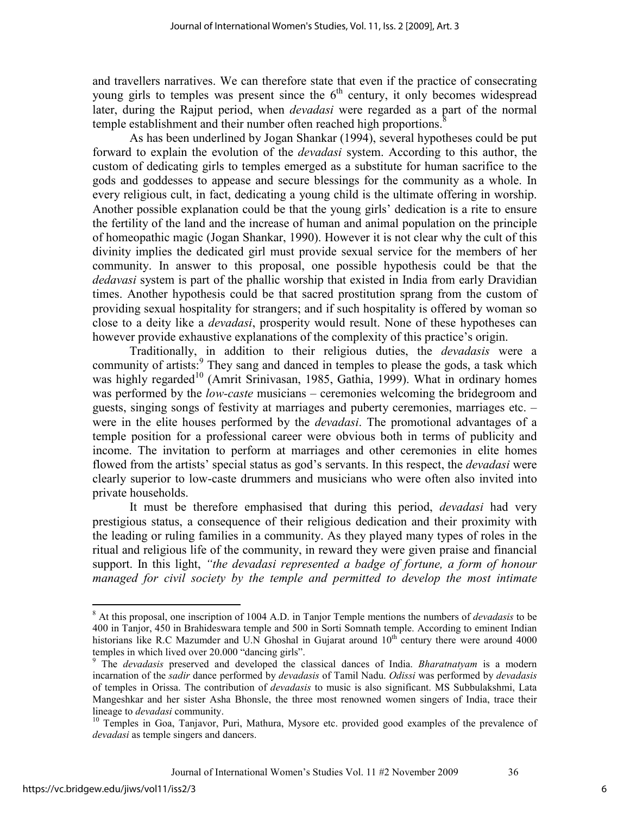and travellers narratives. We can therefore state that even if the practice of consecrating young girls to temples was present since the  $6<sup>th</sup>$  century, it only becomes widespread later, during the Rajput period, when *devadasi* were regarded as a part of the normal temple establishment and their number often reached high proportions.

As has been underlined by Jogan Shankar (1994), several hypotheses could be put forward to explain the evolution of the *devadasi* system. According to this author, the custom of dedicating girls to temples emerged as a substitute for human sacrifice to the gods and goddesses to appease and secure blessings for the community as a whole. In every religious cult, in fact, dedicating a young child is the ultimate offering in worship. Another possible explanation could be that the young girls' dedication is a rite to ensure the fertility of the land and the increase of human and animal population on the principle of homeopathic magic (Jogan Shankar, 1990). However it is not clear why the cult of this divinity implies the dedicated girl must provide sexual service for the members of her community. In answer to this proposal, one possible hypothesis could be that the *dedavasi* system is part of the phallic worship that existed in India from early Dravidian times. Another hypothesis could be that sacred prostitution sprang from the custom of providing sexual hospitality for strangers; and if such hospitality is offered by woman so close to a deity like a *devadasi*, prosperity would result. None of these hypotheses can however provide exhaustive explanations of the complexity of this practice's origin.

Traditionally, in addition to their religious duties, the *devadasis* were a community of artists:<sup>9</sup> They sang and danced in temples to please the gods, a task which was highly regarded<sup>10</sup> (Amrit Srinivasan, 1985, Gathia, 1999). What in ordinary homes was performed by the *low-caste* musicians – ceremonies welcoming the bridegroom and guests, singing songs of festivity at marriages and puberty ceremonies, marriages etc. – were in the elite houses performed by the *devadasi*. The promotional advantages of a temple position for a professional career were obvious both in terms of publicity and income. The invitation to perform at marriages and other ceremonies in elite homes flowed from the artists' special status as god's servants. In this respect, the *devadasi* were clearly superior to low-caste drummers and musicians who were often also invited into private households.

It must be therefore emphasised that during this period, *devadasi* had very prestigious status, a consequence of their religious dedication and their proximity with the leading or ruling families in a community. As they played many types of roles in the ritual and religious life of the community, in reward they were given praise and financial support. In this light, *"the devadasi represented a badge of fortune, a form of honour managed for civil society by the temple and permitted to develop the most intimate* 

 $\overline{a}$ 

<sup>8</sup> At this proposal, one inscription of 1004 A.D. in Tanjor Temple mentions the numbers of *devadasis* to be 400 in Tanjor, 450 in Brahideswara temple and 500 in Sorti Somnath temple. According to eminent Indian historians like R.C Mazumder and U.N Ghoshal in Gujarat around  $10<sup>th</sup>$  century there were around 4000 temples in which lived over 20.000 "dancing girls".

<sup>9</sup> The *devadasis* preserved and developed the classical dances of India. *Bharatnatyam* is a modern incarnation of the *sadir* dance performed by *devadasis* of Tamil Nadu. *Odissi* was performed by *devadasis* of temples in Orissa. The contribution of *devadasis* to music is also significant. MS Subbulakshmi, Lata Mangeshkar and her sister Asha Bhonsle, the three most renowned women singers of India, trace their lineage to *devadasi* community.

<sup>&</sup>lt;sup>10</sup> Temples in Goa, Tanjavor, Puri, Mathura, Mysore etc. provided good examples of the prevalence of *devadasi* as temple singers and dancers.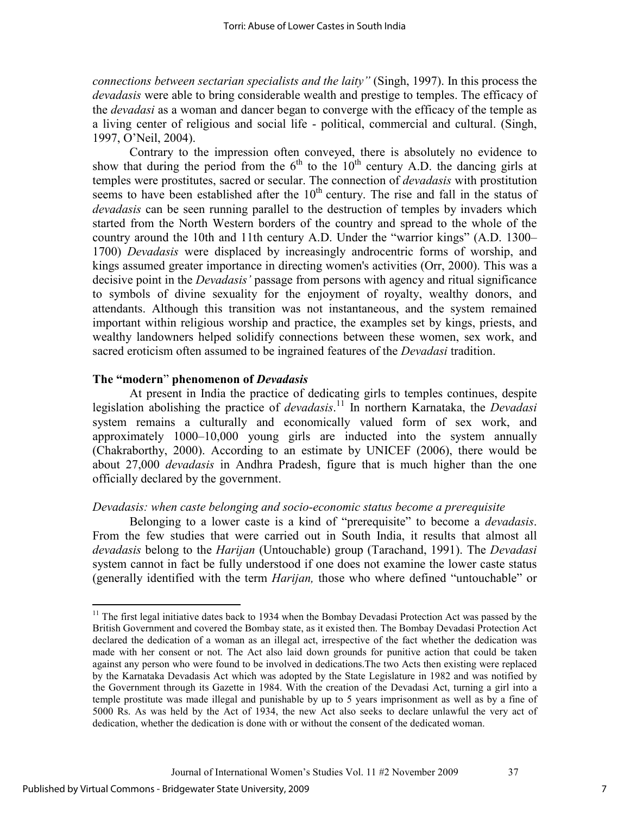*connections between sectarian specialists and the laity"* (Singh, 1997). In this process the *devadasis* were able to bring considerable wealth and prestige to temples. The efficacy of the *devadasi* as a woman and dancer began to converge with the efficacy of the temple as a living center of religious and social life - political, commercial and cultural. (Singh, 1997, O'Neil, 2004).

Contrary to the impression often conveyed, there is absolutely no evidence to show that during the period from the  $6<sup>th</sup>$  to the  $10<sup>th</sup>$  century A.D. the dancing girls at temples were prostitutes, sacred or secular. The connection of *devadasis* with prostitution seems to have been established after the  $10<sup>th</sup>$  century. The rise and fall in the status of *devadasis* can be seen running parallel to the destruction of temples by invaders which started from the North Western borders of the country and spread to the whole of the country around the 10th and 11th century A.D. Under the "warrior kings" (A.D. 1300– 1700) *Devadasis* were displaced by increasingly androcentric forms of worship, and kings assumed greater importance in directing women's activities (Orr, 2000). This was a decisive point in the *Devadasis'* passage from persons with agency and ritual significance to symbols of divine sexuality for the enjoyment of royalty, wealthy donors, and attendants. Although this transition was not instantaneous, and the system remained important within religious worship and practice, the examples set by kings, priests, and wealthy landowners helped solidify connections between these women, sex work, and sacred eroticism often assumed to be ingrained features of the *Devadasi* tradition.

#### **The "modern**" **phenomenon of** *Devadasis*

At present in India the practice of dedicating girls to temples continues, despite legislation abolishing the practice of *devadasis*. <sup>11</sup> In northern Karnataka, the *Devadasi* system remains a culturally and economically valued form of sex work, and approximately 1000–10,000 young girls are inducted into the system annually (Chakraborthy, 2000). According to an estimate by UNICEF (2006), there would be about 27,000 *devadasis* in Andhra Pradesh, figure that is much higher than the one officially declared by the government.

## *Devadasis: when caste belonging and socio-economic status become a prerequisite*

Belonging to a lower caste is a kind of "prerequisite" to become a *devadasis*. From the few studies that were carried out in South India, it results that almost all *devadasis* belong to the *Harijan* (Untouchable) group (Tarachand, 1991). The *Devadasi*  system cannot in fact be fully understood if one does not examine the lower caste status (generally identified with the term *Harijan,* those who where defined "untouchable" or

 $\overline{a}$ 

 $11$  The first legal initiative dates back to 1934 when the Bombay Devadasi Protection Act was passed by the British Government and covered the Bombay state, as it existed then. The Bombay Devadasi Protection Act declared the dedication of a woman as an illegal act, irrespective of the fact whether the dedication was made with her consent or not. The Act also laid down grounds for punitive action that could be taken against any person who were found to be involved in dedications.The two Acts then existing were replaced by the Karnataka Devadasis Act which was adopted by the State Legislature in 1982 and was notified by the Government through its Gazette in 1984. With the creation of the Devadasi Act, turning a girl into a temple prostitute was made illegal and punishable by up to 5 years imprisonment as well as by a fine of 5000 Rs. As was held by the Act of 1934, the new Act also seeks to declare unlawful the very act of dedication, whether the dedication is done with or without the consent of the dedicated woman.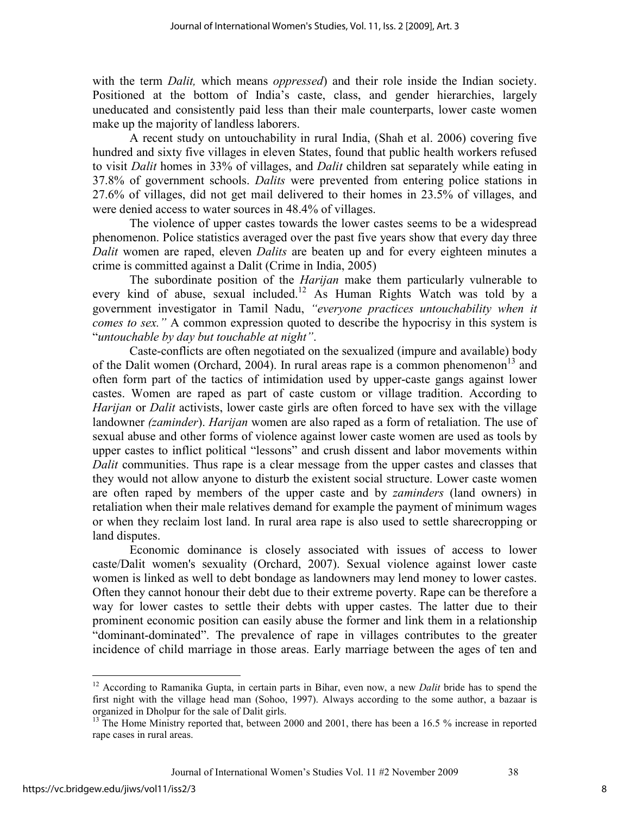with the term *Dalit,* which means *oppressed*) and their role inside the Indian society. Positioned at the bottom of India's caste, class, and gender hierarchies, largely uneducated and consistently paid less than their male counterparts, lower caste women make up the majority of landless laborers.

A recent study on untouchability in rural India, (Shah et al. 2006) covering five hundred and sixty five villages in eleven States, found that public health workers refused to visit *Dalit* homes in 33% of villages, and *Dalit* children sat separately while eating in 37.8% of government schools. *Dalits* were prevented from entering police stations in 27.6% of villages, did not get mail delivered to their homes in 23.5% of villages, and were denied access to water sources in 48.4% of villages.

The violence of upper castes towards the lower castes seems to be a widespread phenomenon. Police statistics averaged over the past five years show that every day three *Dalit* women are raped, eleven *Dalits* are beaten up and for every eighteen minutes a crime is committed against a Dalit (Crime in India, 2005)

The subordinate position of the *Harijan* make them particularly vulnerable to every kind of abuse, sexual included.<sup>12</sup> As Human Rights Watch was told by a government investigator in Tamil Nadu, *"everyone practices untouchability when it comes to sex."* A common expression quoted to describe the hypocrisy in this system is "*untouchable by day but touchable at night"*.

Caste-conflicts are often negotiated on the sexualized (impure and available) body of the Dalit women (Orchard, 2004). In rural areas rape is a common phenomenon<sup>13</sup> and often form part of the tactics of intimidation used by upper-caste gangs against lower castes. Women are raped as part of caste custom or village tradition. According to *Harijan* or *Dalit* activists, lower caste girls are often forced to have sex with the village landowner *(zaminder*). *Harijan* women are also raped as a form of retaliation. The use of sexual abuse and other forms of violence against lower caste women are used as tools by upper castes to inflict political "lessons" and crush dissent and labor movements within *Dalit* communities. Thus rape is a clear message from the upper castes and classes that they would not allow anyone to disturb the existent social structure. Lower caste women are often raped by members of the upper caste and by *zaminders* (land owners) in retaliation when their male relatives demand for example the payment of minimum wages or when they reclaim lost land. In rural area rape is also used to settle sharecropping or land disputes.

Economic dominance is closely associated with issues of access to lower caste/Dalit women's sexuality (Orchard, 2007). Sexual violence against lower caste women is linked as well to debt bondage as landowners may lend money to lower castes. Often they cannot honour their debt due to their extreme poverty. Rape can be therefore a way for lower castes to settle their debts with upper castes. The latter due to their prominent economic position can easily abuse the former and link them in a relationship "dominant-dominated". The prevalence of rape in villages contributes to the greater incidence of child marriage in those areas. Early marriage between the ages of ten and

-

8

<sup>12</sup> According to Ramanika Gupta, in certain parts in Bihar, even now, a new *Dalit* bride has to spend the first night with the village head man (Sohoo, 1997). Always according to the some author, a bazaar is organized in Dholpur for the sale of Dalit girls.

<sup>&</sup>lt;sup>13</sup> The Home Ministry reported that, between 2000 and 2001, there has been a 16.5 % increase in reported rape cases in rural areas.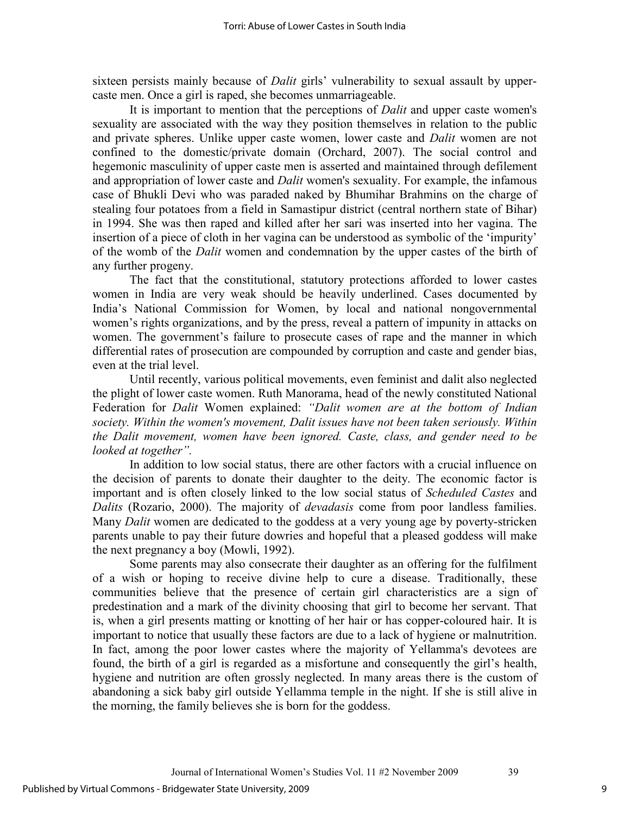sixteen persists mainly because of *Dalit* girls' vulnerability to sexual assault by uppercaste men. Once a girl is raped, she becomes unmarriageable.

It is important to mention that the perceptions of *Dalit* and upper caste women's sexuality are associated with the way they position themselves in relation to the public and private spheres. Unlike upper caste women, lower caste and *Dalit* women are not confined to the domestic/private domain (Orchard, 2007). The social control and hegemonic masculinity of upper caste men is asserted and maintained through defilement and appropriation of lower caste and *Dalit* women's sexuality. For example, the infamous case of Bhukli Devi who was paraded naked by Bhumihar Brahmins on the charge of stealing four potatoes from a field in Samastipur district (central northern state of Bihar) in 1994. She was then raped and killed after her sari was inserted into her vagina. The insertion of a piece of cloth in her vagina can be understood as symbolic of the 'impurity' of the womb of the *Dalit* women and condemnation by the upper castes of the birth of any further progeny.

The fact that the constitutional, statutory protections afforded to lower castes women in India are very weak should be heavily underlined. Cases documented by India's National Commission for Women, by local and national nongovernmental women's rights organizations, and by the press, reveal a pattern of impunity in attacks on women. The government's failure to prosecute cases of rape and the manner in which differential rates of prosecution are compounded by corruption and caste and gender bias, even at the trial level.

Until recently, various political movements, even feminist and dalit also neglected the plight of lower caste women. Ruth Manorama, head of the newly constituted National Federation for *Dalit* Women explained: *"Dalit women are at the bottom of Indian society. Within the women's movement, Dalit issues have not been taken seriously. Within the Dalit movement, women have been ignored. Caste, class, and gender need to be looked at together".* 

In addition to low social status, there are other factors with a crucial influence on the decision of parents to donate their daughter to the deity. The economic factor is important and is often closely linked to the low social status of *Scheduled Castes* and *Dalits* (Rozario, 2000). The majority of *devadasis* come from poor landless families. Many *Dalit* women are dedicated to the goddess at a very young age by poverty-stricken parents unable to pay their future dowries and hopeful that a pleased goddess will make the next pregnancy a boy (Mowli, 1992).

Some parents may also consecrate their daughter as an offering for the fulfilment of a wish or hoping to receive divine help to cure a disease. Traditionally, these communities believe that the presence of certain girl characteristics are a sign of predestination and a mark of the divinity choosing that girl to become her servant. That is, when a girl presents matting or knotting of her hair or has copper-coloured hair. It is important to notice that usually these factors are due to a lack of hygiene or malnutrition. In fact, among the poor lower castes where the majority of Yellamma's devotees are found, the birth of a girl is regarded as a misfortune and consequently the girl's health, hygiene and nutrition are often grossly neglected. In many areas there is the custom of abandoning a sick baby girl outside Yellamma temple in the night. If she is still alive in the morning, the family believes she is born for the goddess.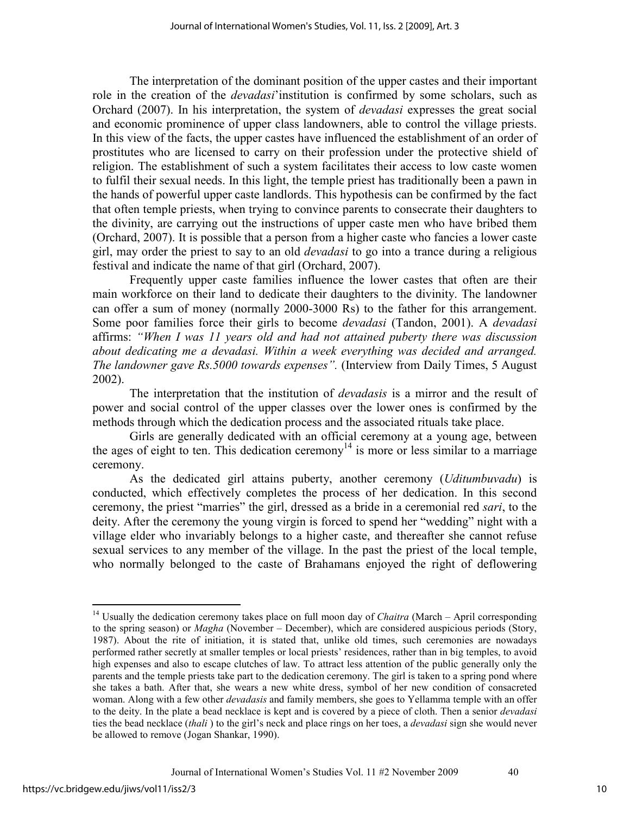The interpretation of the dominant position of the upper castes and their important role in the creation of the *devadasi*'institution is confirmed by some scholars, such as Orchard (2007). In his interpretation, the system of *devadasi* expresses the great social and economic prominence of upper class landowners, able to control the village priests. In this view of the facts, the upper castes have influenced the establishment of an order of prostitutes who are licensed to carry on their profession under the protective shield of religion. The establishment of such a system facilitates their access to low caste women to fulfil their sexual needs. In this light, the temple priest has traditionally been a pawn in the hands of powerful upper caste landlords. This hypothesis can be confirmed by the fact that often temple priests, when trying to convince parents to consecrate their daughters to the divinity, are carrying out the instructions of upper caste men who have bribed them (Orchard, 2007). It is possible that a person from a higher caste who fancies a lower caste girl, may order the priest to say to an old *devadasi* to go into a trance during a religious festival and indicate the name of that girl (Orchard, 2007).

Frequently upper caste families influence the lower castes that often are their main workforce on their land to dedicate their daughters to the divinity. The landowner can offer a sum of money (normally 2000-3000 Rs) to the father for this arrangement. Some poor families force their girls to become *devadasi* (Tandon, 2001). A *devadasi* affirms: *"When I was 11 years old and had not attained puberty there was discussion about dedicating me a devadasi. Within a week everything was decided and arranged. The landowner gave Rs.5000 towards expenses".* (Interview from Daily Times, 5 August 2002).

The interpretation that the institution of *devadasis* is a mirror and the result of power and social control of the upper classes over the lower ones is confirmed by the methods through which the dedication process and the associated rituals take place.

Girls are generally dedicated with an official ceremony at a young age, between the ages of eight to ten. This dedication ceremony<sup>14</sup> is more or less similar to a marriage ceremony.

As the dedicated girl attains puberty, another ceremony (*Uditumbuvadu*) is conducted, which effectively completes the process of her dedication. In this second ceremony, the priest "marries" the girl, dressed as a bride in a ceremonial red *sari*, to the deity. After the ceremony the young virgin is forced to spend her "wedding" night with a village elder who invariably belongs to a higher caste, and thereafter she cannot refuse sexual services to any member of the village. In the past the priest of the local temple, who normally belonged to the caste of Brahamans enjoyed the right of deflowering

-

<sup>&</sup>lt;sup>14</sup> Usually the dedication ceremony takes place on full moon day of *Chaitra* (March – April corresponding to the spring season) or *Magha* (November – December), which are considered auspicious periods (Story, 1987). About the rite of initiation, it is stated that, unlike old times, such ceremonies are nowadays performed rather secretly at smaller temples or local priests' residences, rather than in big temples, to avoid high expenses and also to escape clutches of law. To attract less attention of the public generally only the parents and the temple priests take part to the dedication ceremony. The girl is taken to a spring pond where she takes a bath. After that, she wears a new white dress, symbol of her new condition of consacreted woman. Along with a few other *devadasis* and family members, she goes to Yellamma temple with an offer to the deity. In the plate a bead necklace is kept and is covered by a piece of cloth. Then a senior *devadasi* ties the bead necklace (*thali* ) to the girl's neck and place rings on her toes, a *devadasi* sign she would never be allowed to remove (Jogan Shankar, 1990).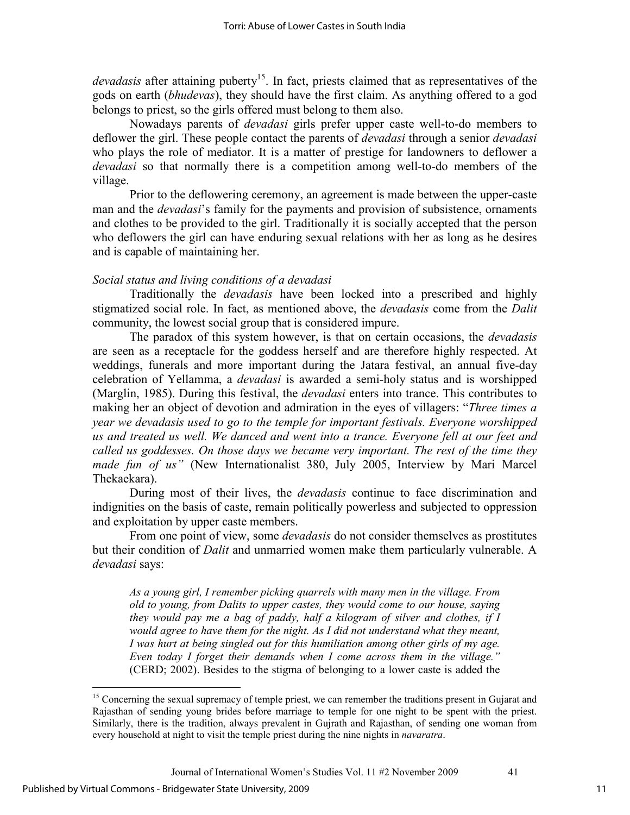*devadasis* after attaining puberty<sup>15</sup>. In fact, priests claimed that as representatives of the gods on earth (*bhudevas*), they should have the first claim. As anything offered to a god belongs to priest, so the girls offered must belong to them also.

Nowadays parents of *devadasi* girls prefer upper caste well-to-do members to deflower the girl. These people contact the parents of *devadasi* through a senior *devadasi* who plays the role of mediator. It is a matter of prestige for landowners to deflower a *devadasi* so that normally there is a competition among well-to-do members of the village.

Prior to the deflowering ceremony, an agreement is made between the upper-caste man and the *devadasi*'s family for the payments and provision of subsistence, ornaments and clothes to be provided to the girl. Traditionally it is socially accepted that the person who deflowers the girl can have enduring sexual relations with her as long as he desires and is capable of maintaining her.

# *Social status and living conditions of a devadasi*

Traditionally the *devadasis* have been locked into a prescribed and highly stigmatized social role. In fact, as mentioned above, the *devadasis* come from the *Dalit* community, the lowest social group that is considered impure.

The paradox of this system however, is that on certain occasions, the *devadasis* are seen as a receptacle for the goddess herself and are therefore highly respected. At weddings, funerals and more important during the Jatara festival, an annual five-day celebration of Yellamma, a *devadasi* is awarded a semi-holy status and is worshipped (Marglin, 1985). During this festival, the *devadasi* enters into trance. This contributes to making her an object of devotion and admiration in the eyes of villagers: "*Three times a year we devadasis used to go to the temple for important festivals. Everyone worshipped us and treated us well. We danced and went into a trance. Everyone fell at our feet and called us goddesses. On those days we became very important. The rest of the time they made fun of us"* (New Internationalist 380, July 2005, Interview by Mari Marcel Thekaekara).

During most of their lives, the *devadasis* continue to face discrimination and indignities on the basis of caste, remain politically powerless and subjected to oppression and exploitation by upper caste members.

From one point of view, some *devadasis* do not consider themselves as prostitutes but their condition of *Dalit* and unmarried women make them particularly vulnerable. A *devadasi* says:

*As a young girl, I remember picking quarrels with many men in the village. From old to young, from Dalits to upper castes, they would come to our house, saying they would pay me a bag of paddy, half a kilogram of silver and clothes, if I*  would agree to have them for the night. As I did not understand what they meant, *I was hurt at being singled out for this humiliation among other girls of my age. Even today I forget their demands when I come across them in the village."* (CERD; 2002). Besides to the stigma of belonging to a lower caste is added the

l

<sup>&</sup>lt;sup>15</sup> Concerning the sexual supremacy of temple priest, we can remember the traditions present in Gujarat and Rajasthan of sending young brides before marriage to temple for one night to be spent with the priest. Similarly, there is the tradition, always prevalent in Gujrath and Rajasthan, of sending one woman from every household at night to visit the temple priest during the nine nights in *navaratra*.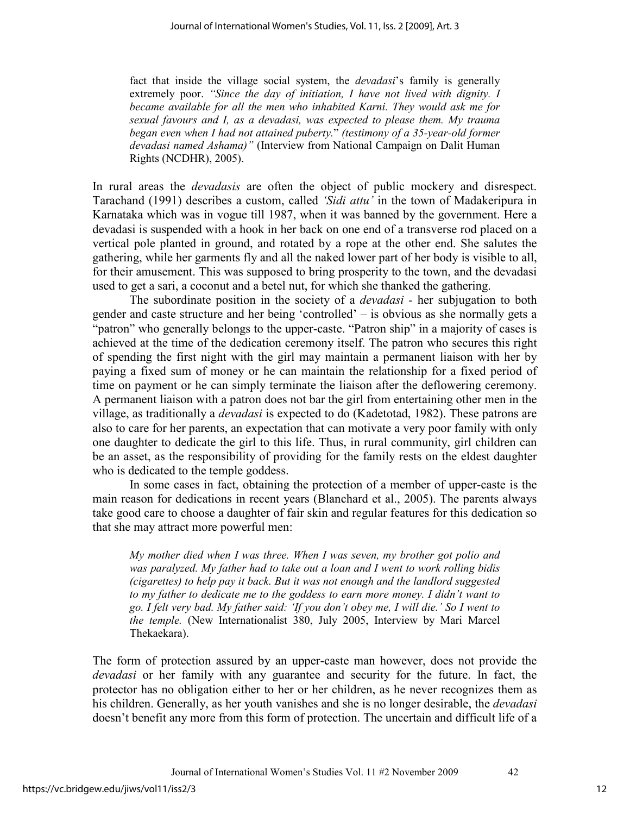fact that inside the village social system, the *devadasi*'s family is generally extremely poor. *"Since the day of initiation, I have not lived with dignity. I became available for all the men who inhabited Karni. They would ask me for sexual favours and I, as a devadasi, was expected to please them. My trauma began even when I had not attained puberty.*" *(testimony of a 35-year-old former devadasi named Ashama)"* (Interview from National Campaign on Dalit Human Rights (NCDHR), 2005).

In rural areas the *devadasis* are often the object of public mockery and disrespect. Tarachand (1991) describes a custom, called *'Sidi attu'* in the town of Madakeripura in Karnataka which was in vogue till 1987, when it was banned by the government. Here a devadasi is suspended with a hook in her back on one end of a transverse rod placed on a vertical pole planted in ground, and rotated by a rope at the other end. She salutes the gathering, while her garments fly and all the naked lower part of her body is visible to all, for their amusement. This was supposed to bring prosperity to the town, and the devadasi used to get a sari, a coconut and a betel nut, for which she thanked the gathering.

The subordinate position in the society of a *devadasi -* her subjugation to both gender and caste structure and her being 'controlled' – is obvious as she normally gets a "patron" who generally belongs to the upper-caste. "Patron ship" in a majority of cases is achieved at the time of the dedication ceremony itself. The patron who secures this right of spending the first night with the girl may maintain a permanent liaison with her by paying a fixed sum of money or he can maintain the relationship for a fixed period of time on payment or he can simply terminate the liaison after the deflowering ceremony. A permanent liaison with a patron does not bar the girl from entertaining other men in the village, as traditionally a *devadasi* is expected to do (Kadetotad, 1982). These patrons are also to care for her parents, an expectation that can motivate a very poor family with only one daughter to dedicate the girl to this life. Thus, in rural community, girl children can be an asset, as the responsibility of providing for the family rests on the eldest daughter who is dedicated to the temple goddess.

In some cases in fact, obtaining the protection of a member of upper-caste is the main reason for dedications in recent years (Blanchard et al., 2005). The parents always take good care to choose a daughter of fair skin and regular features for this dedication so that she may attract more powerful men:

*My mother died when I was three. When I was seven, my brother got polio and was paralyzed. My father had to take out a loan and I went to work rolling bidis (cigarettes) to help pay it back. But it was not enough and the landlord suggested to my father to dedicate me to the goddess to earn more money. I didn't want to go. I felt very bad. My father said: 'If you don't obey me, I will die.' So I went to the temple.* (New Internationalist 380, July 2005, Interview by Mari Marcel Thekaekara).

The form of protection assured by an upper-caste man however, does not provide the *devadasi* or her family with any guarantee and security for the future. In fact, the protector has no obligation either to her or her children, as he never recognizes them as his children. Generally, as her youth vanishes and she is no longer desirable, the *devadasi* doesn't benefit any more from this form of protection. The uncertain and difficult life of a

Journal of International Women's Studies Vol. 11 #2 November 2009 42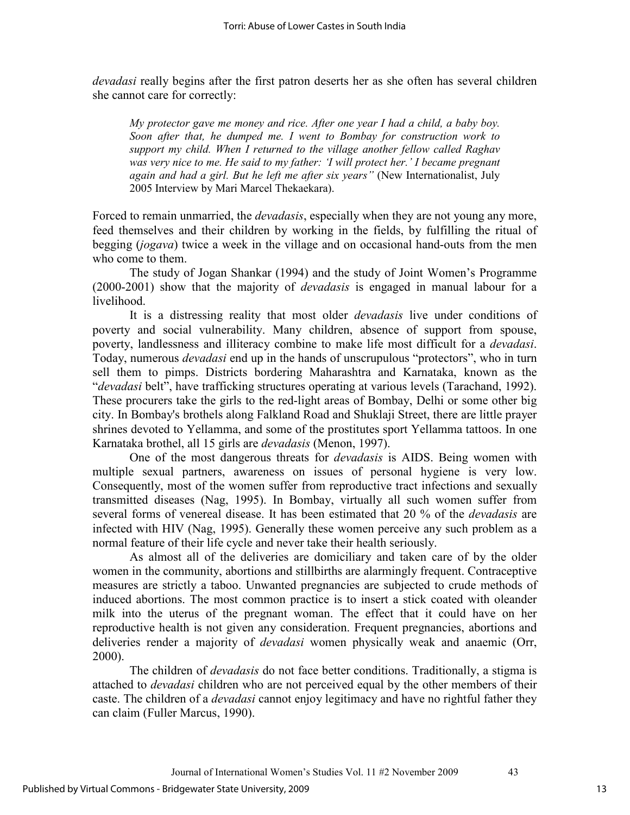*devadasi* really begins after the first patron deserts her as she often has several children she cannot care for correctly:

*My protector gave me money and rice. After one year I had a child, a baby boy. Soon after that, he dumped me. I went to Bombay for construction work to support my child. When I returned to the village another fellow called Raghav was very nice to me. He said to my father: 'I will protect her.' I became pregnant again and had a girl. But he left me after six years"* (New Internationalist, July 2005 Interview by Mari Marcel Thekaekara).

Forced to remain unmarried, the *devadasis*, especially when they are not young any more, feed themselves and their children by working in the fields, by fulfilling the ritual of begging (*jogava*) twice a week in the village and on occasional hand-outs from the men who come to them.

The study of Jogan Shankar (1994) and the study of Joint Women's Programme (2000-2001) show that the majority of *devadasis* is engaged in manual labour for a livelihood.

It is a distressing reality that most older *devadasis* live under conditions of poverty and social vulnerability. Many children, absence of support from spouse, poverty, landlessness and illiteracy combine to make life most difficult for a *devadasi*. Today, numerous *devadasi* end up in the hands of unscrupulous "protectors", who in turn sell them to pimps. Districts bordering Maharashtra and Karnataka, known as the "*devadasi* belt", have trafficking structures operating at various levels (Tarachand, 1992). These procurers take the girls to the red-light areas of Bombay, Delhi or some other big city. In Bombay's brothels along Falkland Road and Shuklaji Street, there are little prayer shrines devoted to Yellamma, and some of the prostitutes sport Yellamma tattoos. In one Karnataka brothel, all 15 girls are *devadasis* (Menon, 1997).

One of the most dangerous threats for *devadasis* is AIDS. Being women with multiple sexual partners, awareness on issues of personal hygiene is very low. Consequently, most of the women suffer from reproductive tract infections and sexually transmitted diseases (Nag, 1995). In Bombay, virtually all such women suffer from several forms of venereal disease. It has been estimated that 20 % of the *devadasis* are infected with HIV (Nag, 1995). Generally these women perceive any such problem as a normal feature of their life cycle and never take their health seriously.

As almost all of the deliveries are domiciliary and taken care of by the older women in the community, abortions and stillbirths are alarmingly frequent. Contraceptive measures are strictly a taboo. Unwanted pregnancies are subjected to crude methods of induced abortions. The most common practice is to insert a stick coated with oleander milk into the uterus of the pregnant woman. The effect that it could have on her reproductive health is not given any consideration. Frequent pregnancies, abortions and deliveries render a majority of *devadasi* women physically weak and anaemic (Orr, 2000).

The children of *devadasis* do not face better conditions. Traditionally, a stigma is attached to *devadasi* children who are not perceived equal by the other members of their caste. The children of a *devadasi* cannot enjoy legitimacy and have no rightful father they can claim (Fuller Marcus, 1990).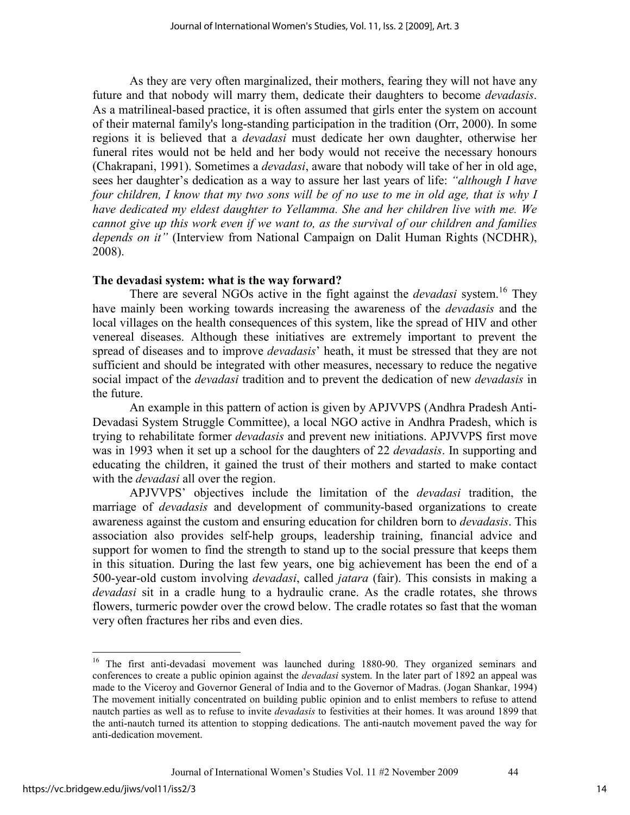As they are very often marginalized, their mothers, fearing they will not have any future and that nobody will marry them, dedicate their daughters to become *devadasis*. As a matrilineal-based practice, it is often assumed that girls enter the system on account of their maternal family's long-standing participation in the tradition (Orr, 2000). In some regions it is believed that a *devadasi* must dedicate her own daughter, otherwise her funeral rites would not be held and her body would not receive the necessary honours (Chakrapani, 1991). Sometimes a *devadasi*, aware that nobody will take of her in old age, sees her daughter's dedication as a way to assure her last years of life: *"although I have four children, I know that my two sons will be of no use to me in old age, that is why I have dedicated my eldest daughter to Yellamma. She and her children live with me. We cannot give up this work even if we want to, as the survival of our children and families depends on it"* (Interview from National Campaign on Dalit Human Rights (NCDHR), 2008).

# **The devadasi system: what is the way forward?**

There are several NGOs active in the fight against the *devadasi* system.<sup>16</sup> They have mainly been working towards increasing the awareness of the *devadasis* and the local villages on the health consequences of this system, like the spread of HIV and other venereal diseases. Although these initiatives are extremely important to prevent the spread of diseases and to improve *devadasis*' heath, it must be stressed that they are not sufficient and should be integrated with other measures, necessary to reduce the negative social impact of the *devadasi* tradition and to prevent the dedication of new *devadasis* in the future.

An example in this pattern of action is given by APJVVPS (Andhra Pradesh Anti-Devadasi System Struggle Committee), a local NGO active in Andhra Pradesh, which is trying to rehabilitate former *devadasis* and prevent new initiations. APJVVPS first move was in 1993 when it set up a school for the daughters of 22 *devadasis*. In supporting and educating the children, it gained the trust of their mothers and started to make contact with the *devadasi* all over the region.

APJVVPS' objectives include the limitation of the *devadasi* tradition, the marriage of *devadasis* and development of community-based organizations to create awareness against the custom and ensuring education for children born to *devadasis*. This association also provides self-help groups, leadership training, financial advice and support for women to find the strength to stand up to the social pressure that keeps them in this situation. During the last few years, one big achievement has been the end of a 500-year-old custom involving *devadasi*, called *jatara* (fair). This consists in making a *devadasi* sit in a cradle hung to a hydraulic crane. As the cradle rotates, she throws flowers, turmeric powder over the crowd below. The cradle rotates so fast that the woman very often fractures her ribs and even dies.

 $\overline{a}$ 

<sup>&</sup>lt;sup>16</sup> The first anti-devadasi movement was launched during 1880-90. They organized seminars and conferences to create a public opinion against the *devadasi* system. In the later part of 1892 an appeal was made to the Viceroy and Governor General of India and to the Governor of Madras. (Jogan Shankar, 1994) The movement initially concentrated on building public opinion and to enlist members to refuse to attend nautch parties as well as to refuse to invite *devadasis* to festivities at their homes. It was around 1899 that the anti-nautch turned its attention to stopping dedications. The anti-nautch movement paved the way for anti-dedication movement.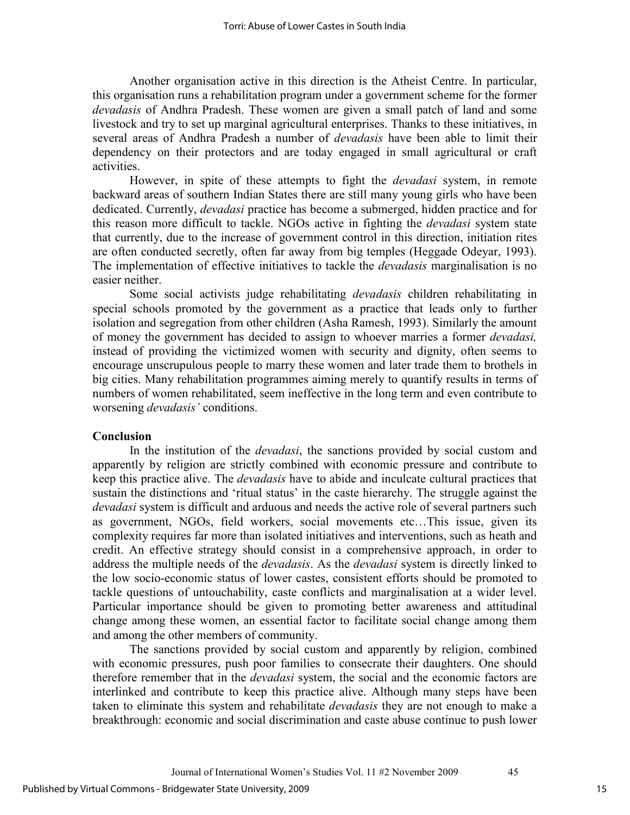Another organisation active in this direction is the Atheist Centre. In particular, this organisation runs a rehabilitation program under a government scheme for the former *devadasis* of Andhra Pradesh. These women are given a small patch of land and some livestock and try to set up marginal agricultural enterprises. Thanks to these initiatives, in several areas of Andhra Pradesh a number of *devadasis* have been able to limit their dependency on their protectors and are today engaged in small agricultural or craft activities.

However, in spite of these attempts to fight the *devadasi* system, in remote backward areas of southern Indian States there are still many young girls who have been dedicated. Currently, *devadasi* practice has become a submerged, hidden practice and for this reason more difficult to tackle. NGOs active in fighting the *devadasi* system state that currently, due to the increase of government control in this direction, initiation rites are often conducted secretly, often far away from big temples (Heggade Odeyar, 1993). The implementation of effective initiatives to tackle the *devadasis* marginalisation is no easier neither.

Some social activists judge rehabilitating *devadasis* children rehabilitating in special schools promoted by the government as a practice that leads only to further isolation and segregation from other children (Asha Ramesh, 1993). Similarly the amount of money the government has decided to assign to whoever marries a former *devadasi,* instead of providing the victimized women with security and dignity, often seems to encourage unscrupulous people to marry these women and later trade them to brothels in big cities. Many rehabilitation programmes aiming merely to quantify results in terms of numbers of women rehabilitated, seem ineffective in the long term and even contribute to worsening *devadasis'* conditions.

## **Conclusion**

In the institution of the *devadasi*, the sanctions provided by social custom and apparently by religion are strictly combined with economic pressure and contribute to keep this practice alive. The *devadasis* have to abide and inculcate cultural practices that sustain the distinctions and 'ritual status' in the caste hierarchy. The struggle against the *devadasi* system is difficult and arduous and needs the active role of several partners such as government, NGOs, field workers, social movements etc…This issue, given its complexity requires far more than isolated initiatives and interventions, such as heath and credit. An effective strategy should consist in a comprehensive approach, in order to address the multiple needs of the *devadasis*. As the *devadasi* system is directly linked to the low socio-economic status of lower castes, consistent efforts should be promoted to tackle questions of untouchability, caste conflicts and marginalisation at a wider level. Particular importance should be given to promoting better awareness and attitudinal change among these women, an essential factor to facilitate social change among them and among the other members of community.

The sanctions provided by social custom and apparently by religion, combined with economic pressures, push poor families to consecrate their daughters. One should therefore remember that in the *devadasi* system, the social and the economic factors are interlinked and contribute to keep this practice alive. Although many steps have been taken to eliminate this system and rehabilitate *devadasis* they are not enough to make a breakthrough: economic and social discrimination and caste abuse continue to push lower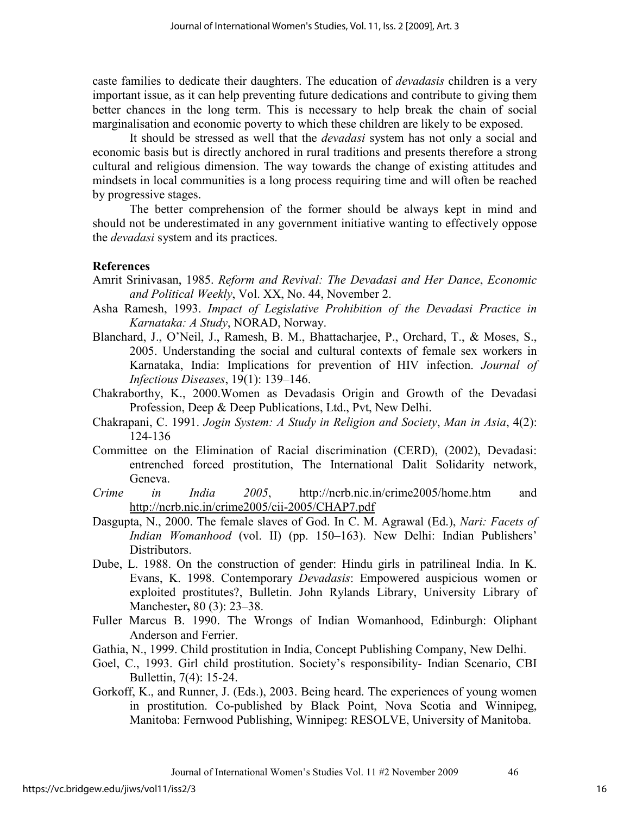caste families to dedicate their daughters. The education of *devadasis* children is a very important issue, as it can help preventing future dedications and contribute to giving them better chances in the long term. This is necessary to help break the chain of social marginalisation and economic poverty to which these children are likely to be exposed.

It should be stressed as well that the *devadasi* system has not only a social and economic basis but is directly anchored in rural traditions and presents therefore a strong cultural and religious dimension. The way towards the change of existing attitudes and mindsets in local communities is a long process requiring time and will often be reached by progressive stages.

The better comprehension of the former should be always kept in mind and should not be underestimated in any government initiative wanting to effectively oppose the *devadasi* system and its practices.

## **References**

- Amrit Srinivasan, 1985. *Reform and Revival: The Devadasi and Her Dance*, *Economic and Political Weekly*, Vol. XX, No. 44, November 2.
- Asha Ramesh, 1993. *Impact of Legislative Prohibition of the Devadasi Practice in Karnataka: A Study*, NORAD, Norway.
- Blanchard, J., O'Neil, J., Ramesh, B. M., Bhattacharjee, P., Orchard, T., & Moses, S., 2005. Understanding the social and cultural contexts of female sex workers in Karnataka, India: Implications for prevention of HIV infection. *Journal of Infectious Diseases*, 19(1): 139–146.
- Chakraborthy, K., 2000.Women as Devadasis Origin and Growth of the Devadasi Profession, Deep & Deep Publications, Ltd., Pvt, New Delhi.
- Chakrapani, C. 1991. *Jogin System: A Study in Religion and Society*, *Man in Asia*, 4(2): 124-136
- Committee on the Elimination of Racial discrimination (CERD), (2002), Devadasi: entrenched forced prostitution, The International Dalit Solidarity network, Geneva.
- *Crime in India 2005*, http://ncrb.nic.in/crime2005/home.htm and http://ncrb.nic.in/crime2005/cii-2005/CHAP7.pdf
- Dasgupta, N., 2000. The female slaves of God. In C. M. Agrawal (Ed.), *Nari: Facets of Indian Womanhood* (vol. II) (pp. 150–163). New Delhi: Indian Publishers' Distributors.
- Dube, L. 1988. On the construction of gender: Hindu girls in patrilineal India. In K. Evans, K. 1998. Contemporary *Devadasis*: Empowered auspicious women or exploited prostitutes?, Bulletin. John Rylands Library, University Library of Manchester**,** 80 (3): 23–38.
- Fuller Marcus B. 1990. The Wrongs of Indian Womanhood, Edinburgh: Oliphant Anderson and Ferrier.
- Gathia, N., 1999. Child prostitution in India, Concept Publishing Company, New Delhi.
- Goel, C., 1993. Girl child prostitution. Society's responsibility- Indian Scenario, CBI Bullettin, 7(4): 15-24.
- Gorkoff, K., and Runner, J. (Eds.), 2003. Being heard. The experiences of young women in prostitution. Co-published by Black Point, Nova Scotia and Winnipeg, Manitoba: Fernwood Publishing, Winnipeg: RESOLVE, University of Manitoba.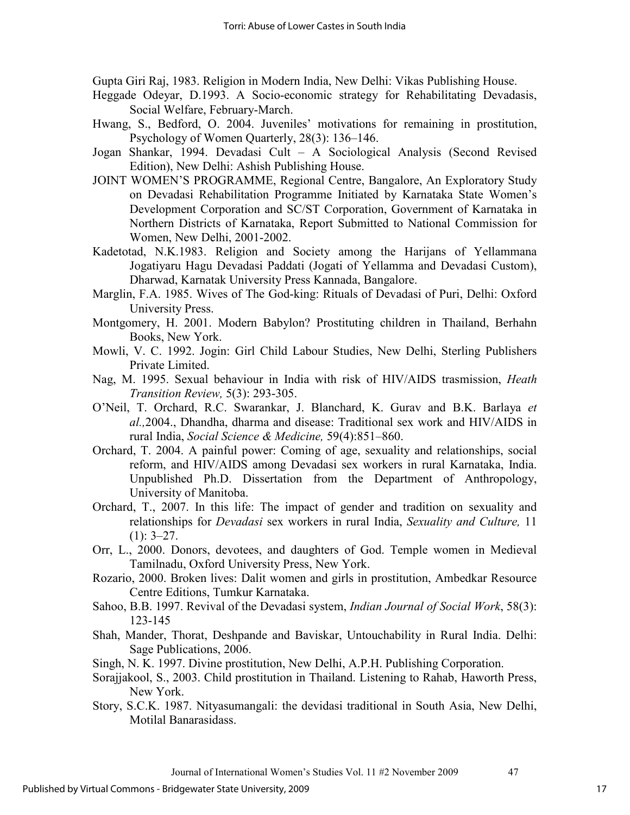Gupta Giri Raj, 1983. Religion in Modern India, New Delhi: Vikas Publishing House.

- Heggade Odeyar, D.1993. A Socio-economic strategy for Rehabilitating Devadasis, Social Welfare, February-March.
- Hwang, S., Bedford, O. 2004. Juveniles' motivations for remaining in prostitution, Psychology of Women Quarterly, 28(3): 136–146.
- Jogan Shankar, 1994. Devadasi Cult A Sociological Analysis (Second Revised Edition), New Delhi: Ashish Publishing House.
- JOINT WOMEN'S PROGRAMME, Regional Centre, Bangalore, An Exploratory Study on Devadasi Rehabilitation Programme Initiated by Karnataka State Women's Development Corporation and SC/ST Corporation, Government of Karnataka in Northern Districts of Karnataka, Report Submitted to National Commission for Women, New Delhi, 2001-2002.
- Kadetotad, N.K.1983. Religion and Society among the Harijans of Yellammana Jogatiyaru Hagu Devadasi Paddati (Jogati of Yellamma and Devadasi Custom), Dharwad, Karnatak University Press Kannada, Bangalore.
- Marglin, F.A. 1985. Wives of The God-king: Rituals of Devadasi of Puri, Delhi: Oxford University Press.
- Montgomery, H. 2001. Modern Babylon? Prostituting children in Thailand, Berhahn Books, New York.
- Mowli, V. C. 1992. Jogin: Girl Child Labour Studies, New Delhi, Sterling Publishers Private Limited.
- Nag, M. 1995. Sexual behaviour in India with risk of HIV/AIDS trasmission, *Heath Transition Review,* 5(3): 293-305.
- O'Neil, T. Orchard, R.C. Swarankar, J. Blanchard, K. Gurav and B.K. Barlaya *et al.,*2004., Dhandha, dharma and disease: Traditional sex work and HIV/AIDS in rural India, *Social Science & Medicine,* 59(4):851–860.
- Orchard, T. 2004. A painful power: Coming of age, sexuality and relationships, social reform, and HIV/AIDS among Devadasi sex workers in rural Karnataka, India. Unpublished Ph.D. Dissertation from the Department of Anthropology, University of Manitoba.
- Orchard, T., 2007. In this life: The impact of gender and tradition on sexuality and relationships for *Devadasi* sex workers in rural India, *Sexuality and Culture,* 11  $(1): 3-27.$
- Orr, L., 2000. Donors, devotees, and daughters of God. Temple women in Medieval Tamilnadu, Oxford University Press, New York.
- Rozario, 2000. Broken lives: Dalit women and girls in prostitution, Ambedkar Resource Centre Editions, Tumkur Karnataka.
- Sahoo, B.B. 1997. Revival of the Devadasi system, *Indian Journal of Social Work*, 58(3): 123-145
- Shah, Mander, Thorat, Deshpande and Baviskar, Untouchability in Rural India. Delhi: Sage Publications, 2006.
- Singh, N. K. 1997. Divine prostitution, New Delhi, A.P.H. Publishing Corporation.
- Sorajjakool, S., 2003. Child prostitution in Thailand. Listening to Rahab, Haworth Press, New York.
- Story, S.C.K. 1987. Nityasumangali: the devidasi traditional in South Asia, New Delhi, Motilal Banarasidass.